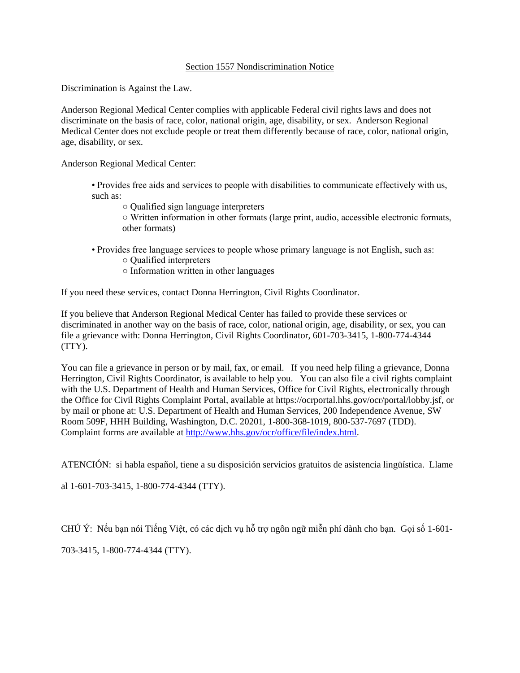## Section 1557 Nondiscrimination Notice

Discrimination is Against the Law.

Anderson Regional Medical Center complies with applicable Federal civil rights laws and does not discriminate on the basis of race, color, national origin, age, disability, or sex. Anderson Regional Medical Center does not exclude people or treat them differently because of race, color, national origin, age, disability, or sex.

Anderson Regional Medical Center:

- Provides free aids and services to people with disabilities to communicate effectively with us, such as:
	- Qualified sign language interpreters
	- Written information in other formats (large print, audio, accessible electronic formats, other formats)
- Provides free language services to people whose primary language is not English, such as:
	- Qualified interpreters
	- Information written in other languages

If you need these services, contact Donna Herrington, Civil Rights Coordinator.

If you believe that Anderson Regional Medical Center has failed to provide these services or discriminated in another way on the basis of race, color, national origin, age, disability, or sex, you can file a grievance with: Donna Herrington, Civil Rights Coordinator, 601-703-3415, 1-800-774-4344 (TTY).

You can file a grievance in person or by mail, fax, or email. If you need help filing a grievance, Donna Herrington, Civil Rights Coordinator, is available to help you. You can also file a civil rights complaint with the U.S. Department of Health and Human Services, Office for Civil Rights, electronically through the Office for Civil Rights Complaint Portal, available at https://ocrportal.hhs.gov/ocr/portal/lobby.jsf, or by mail or phone at: U.S. Department of Health and Human Services, 200 Independence Avenue, SW Room 509F, HHH Building, Washington, D.C. 20201, 1-800-368-1019, 800-537-7697 (TDD). Complaint forms are available at [http://www.hhs.gov/ocr/office/file/index.html.](http://www.hhs.gov/ocr/office/file/index.html)

ATENCIÓN: si habla español, tiene a su disposición servicios gratuitos de asistencia lingüística. Llame

al 1-601-703-3415, 1-800-774-4344 (TTY).

CHÚ Ý: Nếu bạn nói Tiếng Việt, có các dịch vụ hỗ trợ ngôn ngữ miễn phí dành cho bạn. Gọi số 1-601-

703-3415, 1-800-774-4344 (TTY).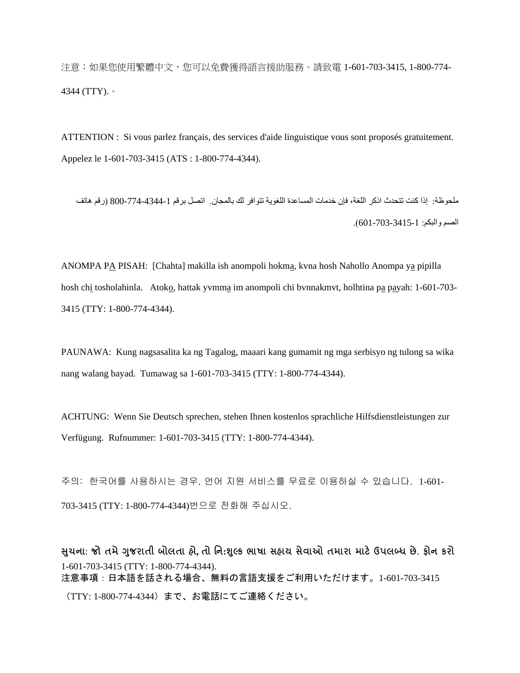注意:如果您使用繁體中文,您可以免費獲得語言援助服務。請致電 1-601-703-3415, 1-800-774- 4344 (TTY).。

ATTENTION : Si vous parlez français, des services d'aide linguistique vous sont proposés gratuitement. Appelez le 1-601-703-3415 (ATS : 1-800-774-4344).

ملحوظة: إذا كنت تتحدث اذكر اللغة، فإن خدمات المساعدة اللغوية تتوافر لك بالمجان. اتصل برقم 800-774-4344-1 )رقم هاتف الصم والبكم: 601-703-3415-1(.

ANOMPA PA PISAH: [Chahta] makilla ish anompoli hokma, kvna hosh Nahollo Anompa ya pipilla hosh chi tosholahinla. Atoko, hattak yvmma im anompoli chi bvnnakmvt, holhtina pa payah: 1-601-703- 3415 (TTY: 1-800-774-4344).

PAUNAWA: Kung nagsasalita ka ng Tagalog, maaari kang gumamit ng mga serbisyo ng tulong sa wika nang walang bayad. Tumawag sa 1-601-703-3415 (TTY: 1-800-774-4344).

ACHTUNG: Wenn Sie Deutsch sprechen, stehen Ihnen kostenlos sprachliche Hilfsdienstleistungen zur Verfügung. Rufnummer: 1-601-703-3415 (TTY: 1-800-774-4344).

주의: 한국어를 사용하시는 경우, 언어 지원 서비스를 무료로 이용하실 수 있습니다. 1-601- 703-3415 (TTY: 1-800-774-4344)번으로 전화해 주십시오.

**સચુ ના: જો તમેગજુ રાતી બોલતા હો, તો નન:શલ્ુક ભાષા સહાય સેવાઓ તમારા માટેઉપલબ્ધ છે. ફોન કરો** 1-601-703-3415 (TTY: 1-800-774-4344). 注意事項:日本語を話される場合、無料の言語支援をご利用いただけます。1-601-703-3415 (TTY: 1-800-774-4344)まで、お電話にてご連絡ください。